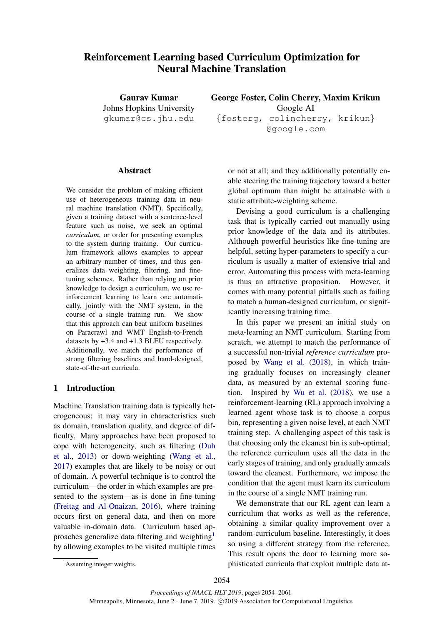# Reinforcement Learning based Curriculum Optimization for Neural Machine Translation

Gaurav Kumar Johns Hopkins University gkumar@cs.jhu.edu

George Foster, Colin Cherry, Maxim Krikun Google AI {fosterg, colincherry, krikun} @google.com

### **Abstract**

We consider the problem of making efficient use of heterogeneous training data in neural machine translation (NMT). Specifically, given a training dataset with a sentence-level feature such as noise, we seek an optimal *curriculum*, or order for presenting examples to the system during training. Our curriculum framework allows examples to appear an arbitrary number of times, and thus generalizes data weighting, filtering, and finetuning schemes. Rather than relying on prior knowledge to design a curriculum, we use reinforcement learning to learn one automatically, jointly with the NMT system, in the course of a single training run. We show that this approach can beat uniform baselines on Paracrawl and WMT English-to-French datasets by +3.4 and +1.3 BLEU respectively. Additionally, we match the performance of strong filtering baselines and hand-designed, state-of-the-art curricula.

### 1 Introduction

Machine Translation training data is typically heterogeneous: it may vary in characteristics such as domain, translation quality, and degree of difficulty. Many approaches have been proposed to cope with heterogeneity, such as filtering (Duh et al., 2013) or down-weighting (Wang et al., 2017) examples that are likely to be noisy or out of domain. A powerful technique is to control the curriculum—the order in which examples are presented to the system—as is done in fine-tuning (Freitag and Al-Onaizan, 2016), where training occurs first on general data, and then on more valuable in-domain data. Curriculum based approaches generalize data filtering and weighting<sup>1</sup> by allowing examples to be visited multiple times

or not at all; and they additionally potentially enable steering the training trajectory toward a better global optimum than might be attainable with a static attribute-weighting scheme.

Devising a good curriculum is a challenging task that is typically carried out manually using prior knowledge of the data and its attributes. Although powerful heuristics like fine-tuning are helpful, setting hyper-parameters to specify a curriculum is usually a matter of extensive trial and error. Automating this process with meta-learning is thus an attractive proposition. However, it comes with many potential pitfalls such as failing to match a human-designed curriculum, or significantly increasing training time.

In this paper we present an initial study on meta-learning an NMT curriculum. Starting from scratch, we attempt to match the performance of a successful non-trivial *reference curriculum* proposed by Wang et al. (2018), in which training gradually focuses on increasingly cleaner data, as measured by an external scoring function. Inspired by Wu et al. (2018), we use a reinforcement-learning (RL) approach involving a learned agent whose task is to choose a corpus bin, representing a given noise level, at each NMT training step. A challenging aspect of this task is that choosing only the cleanest bin is sub-optimal; the reference curriculum uses all the data in the early stages of training, and only gradually anneals toward the cleanest. Furthermore, we impose the condition that the agent must learn its curriculum in the course of a single NMT training run.

We demonstrate that our RL agent can learn a curriculum that works as well as the reference, obtaining a similar quality improvement over a random-curriculum baseline. Interestingly, it does so using a different strategy from the reference. This result opens the door to learning more sophisticated curricula that exploit multiple data at-

<sup>&</sup>lt;sup>1</sup>Assuming integer weights.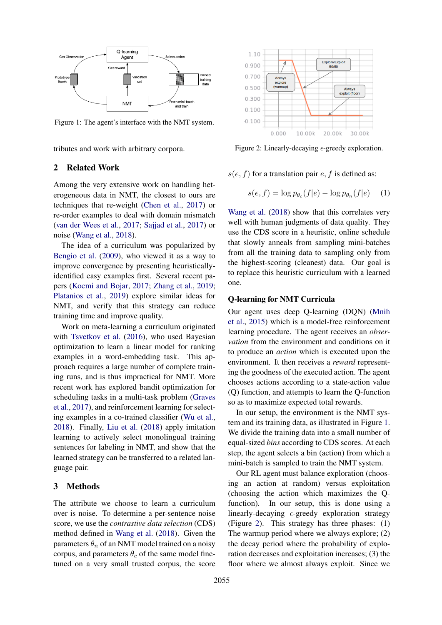

Figure 1: The agent's interface with the NMT system.

tributes and work with arbitrary corpora.

#### 2 Related Work

Among the very extensive work on handling heterogeneous data in NMT, the closest to ours are techniques that re-weight (Chen et al., 2017) or re-order examples to deal with domain mismatch (van der Wees et al., 2017; Sajjad et al., 2017) or noise (Wang et al., 2018).

The idea of a curriculum was popularized by Bengio et al. (2009), who viewed it as a way to improve convergence by presenting heuristicallyidentified easy examples first. Several recent papers (Kocmi and Bojar, 2017; Zhang et al., 2019; Platanios et al., 2019) explore similar ideas for NMT, and verify that this strategy can reduce training time and improve quality.

Work on meta-learning a curriculum originated with Tsvetkov et al. (2016), who used Bayesian optimization to learn a linear model for ranking examples in a word-embedding task. This approach requires a large number of complete training runs, and is thus impractical for NMT. More recent work has explored bandit optimization for scheduling tasks in a multi-task problem (Graves et al., 2017), and reinforcement learning for selecting examples in a co-trained classifier (Wu et al., 2018). Finally, Liu et al. (2018) apply imitation learning to actively select monolingual training sentences for labeling in NMT, and show that the learned strategy can be transferred to a related language pair.

### 3 Methods

The attribute we choose to learn a curriculum over is noise. To determine a per-sentence noise score, we use the *contrastive data selection* (CDS) method defined in Wang et al. (2018). Given the parameters  $\theta_n$  of an NMT model trained on a noisy corpus, and parameters  $\theta_c$  of the same model finetuned on a very small trusted corpus, the score



Figure 2: Linearly-decaying  $\epsilon$ -greedy exploration.

 $s(e, f)$  for a translation pair e, f is defined as:

$$
s(e, f) = \log p_{\theta_c}(f|e) - \log p_{\theta_n}(f|e) \quad (1)
$$

Wang et al. (2018) show that this correlates very well with human judgments of data quality. They use the CDS score in a heuristic, online schedule that slowly anneals from sampling mini-batches from all the training data to sampling only from the highest-scoring (cleanest) data. Our goal is to replace this heuristic curriculum with a learned one.

### Q-learning for NMT Curricula

Our agent uses deep Q-learning (DQN) (Mnih et al., 2015) which is a model-free reinforcement learning procedure. The agent receives an *observation* from the environment and conditions on it to produce an *action* which is executed upon the environment. It then receives a *reward* representing the goodness of the executed action. The agent chooses actions according to a state-action value (Q) function, and attempts to learn the Q-function so as to maximize expected total rewards.

In our setup, the environment is the NMT system and its training data, as illustrated in Figure 1. We divide the training data into a small number of equal-sized *bins* according to CDS scores. At each step, the agent selects a bin (action) from which a mini-batch is sampled to train the NMT system.

Our RL agent must balance exploration (choosing an action at random) versus exploitation (choosing the action which maximizes the Qfunction). In our setup, this is done using a linearly-decaying  $\epsilon$ -greedy exploration strategy (Figure 2). This strategy has three phases: (1) The warmup period where we always explore; (2) the decay period where the probability of exploration decreases and exploitation increases; (3) the floor where we almost always exploit. Since we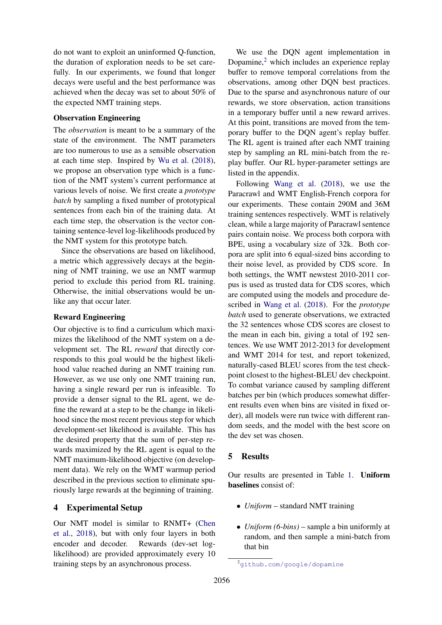do not want to exploit an uninformed Q-function, the duration of exploration needs to be set carefully. In our experiments, we found that longer decays were useful and the best performance was achieved when the decay was set to about 50% of the expected NMT training steps.

#### Observation Engineering

The *observation* is meant to be a summary of the state of the environment. The NMT parameters are too numerous to use as a sensible observation at each time step. Inspired by Wu et al. (2018), we propose an observation type which is a function of the NMT system's current performance at various levels of noise. We first create a *prototype batch* by sampling a fixed number of prototypical sentences from each bin of the training data. At each time step, the observation is the vector containing sentence-level log-likelihoods produced by the NMT system for this prototype batch.

Since the observations are based on likelihood, a metric which aggressively decays at the beginning of NMT training, we use an NMT warmup period to exclude this period from RL training. Otherwise, the initial observations would be unlike any that occur later.

# Reward Engineering

Our objective is to find a curriculum which maximizes the likelihood of the NMT system on a development set. The RL *reward* that directly corresponds to this goal would be the highest likelihood value reached during an NMT training run. However, as we use only one NMT training run, having a single reward per run is infeasible. To provide a denser signal to the RL agent, we define the reward at a step to be the change in likelihood since the most recent previous step for which development-set likelihood is available. This has the desired property that the sum of per-step rewards maximized by the RL agent is equal to the NMT maximum-likelihood objective (on development data). We rely on the WMT warmup period described in the previous section to eliminate spuriously large rewards at the beginning of training.

# 4 Experimental Setup

Our NMT model is similar to RNMT+ (Chen et al., 2018), but with only four layers in both encoder and decoder. Rewards (dev-set loglikelihood) are provided approximately every 10 training steps by an asynchronous process.

We use the DQN agent implementation in Dopamine,<sup>2</sup> which includes an experience replay buffer to remove temporal correlations from the observations, among other DQN best practices. Due to the sparse and asynchronous nature of our rewards, we store observation, action transitions in a temporary buffer until a new reward arrives. At this point, transitions are moved from the temporary buffer to the DQN agent's replay buffer. The RL agent is trained after each NMT training step by sampling an RL mini-batch from the replay buffer. Our RL hyper-parameter settings are listed in the appendix.

Following Wang et al. (2018), we use the Paracrawl and WMT English-French corpora for our experiments. These contain 290M and 36M training sentences respectively. WMT is relatively clean, while a large majority of Paracrawl sentence pairs contain noise. We process both corpora with BPE, using a vocabulary size of 32k. Both corpora are split into 6 equal-sized bins according to their noise level, as provided by CDS score. In both settings, the WMT newstest 2010-2011 corpus is used as trusted data for CDS scores, which are computed using the models and procedure described in Wang et al. (2018). For the *prototype batch* used to generate observations, we extracted the 32 sentences whose CDS scores are closest to the mean in each bin, giving a total of 192 sentences. We use WMT 2012-2013 for development and WMT 2014 for test, and report tokenized, naturally-cased BLEU scores from the test checkpoint closest to the highest-BLEU dev checkpoint. To combat variance caused by sampling different batches per bin (which produces somewhat different results even when bins are visited in fixed order), all models were run twice with different random seeds, and the model with the best score on the dev set was chosen.

# 5 Results

Our results are presented in Table 1. Uniform baselines consist of:

- *Uniform* standard NMT training
- *Uniform (6-bins)* sample a bin uniformly at random, and then sample a mini-batch from that bin

<sup>2</sup>github.com/google/dopamine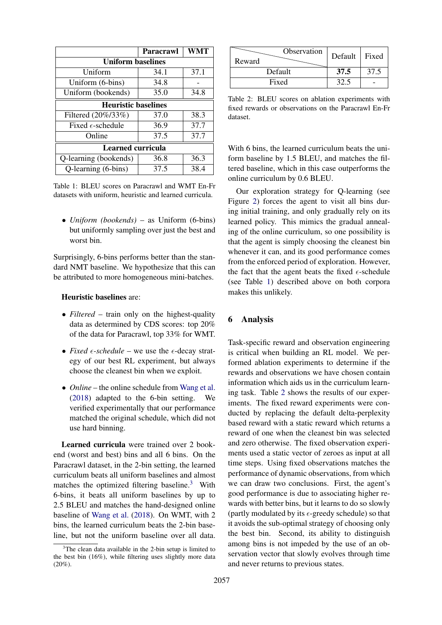|                            | <b>Paracrawl</b> | <b>WMT</b> |  |
|----------------------------|------------------|------------|--|
| <b>Uniform baselines</b>   |                  |            |  |
| Uniform                    | 34.1             | 37.1       |  |
| Uniform (6-bins)           | 34.8             |            |  |
| Uniform (bookends)         | 35.0             | 34.8       |  |
| <b>Heuristic baselines</b> |                  |            |  |
| Filtered (20%/33%)         | 37.0             | 38.3       |  |
| Fixed $\epsilon$ -schedule | 36.9             | 37.7       |  |
| Online                     | 37.5             | 37.7       |  |
| <b>Learned curricula</b>   |                  |            |  |
| Q-learning (bookends)      | 36.8             | 36.3       |  |
| Q-learning (6-bins)        | 37.5             | 38.4       |  |

Table 1: BLEU scores on Paracrawl and WMT En-Fr datasets with uniform, heuristic and learned curricula.

• *Uniform (bookends)* – as Uniform (6-bins) but uniformly sampling over just the best and worst bin.

Surprisingly, 6-bins performs better than the standard NMT baseline. We hypothesize that this can be attributed to more homogeneous mini-batches.

#### Heuristic baselines are:

- *Filtered* train only on the highest-quality data as determined by CDS scores: top 20% of the data for Paracrawl, top 33% for WMT.
- *Fixed*  $\epsilon$ -*schedule* we use the  $\epsilon$ -decay strategy of our best RL experiment, but always choose the cleanest bin when we exploit.
- *Online* the online schedule from Wang et al. (2018) adapted to the 6-bin setting. We verified experimentally that our performance matched the original schedule, which did not use hard binning.

Learned curricula were trained over 2 bookend (worst and best) bins and all 6 bins. On the Paracrawl dataset, in the 2-bin setting, the learned curriculum beats all uniform baselines and almost matches the optimized filtering baseline.<sup>3</sup> With 6-bins, it beats all uniform baselines by up to 2.5 BLEU and matches the hand-designed online baseline of Wang et al. (2018). On WMT, with 2 bins, the learned curriculum beats the 2-bin baseline, but not the uniform baseline over all data.

| Observation<br>Reward | Default   Fixed |      |
|-----------------------|-----------------|------|
| Default               | 37.5            | 37.5 |
| Fixed                 |                 |      |

Table 2: BLEU scores on ablation experiments with fixed rewards or observations on the Paracrawl En-Fr dataset.

With 6 bins, the learned curriculum beats the uniform baseline by 1.5 BLEU, and matches the filtered baseline, which in this case outperforms the online curriculum by 0.6 BLEU.

Our exploration strategy for Q-learning (see Figure 2) forces the agent to visit all bins during initial training, and only gradually rely on its learned policy. This mimics the gradual annealing of the online curriculum, so one possibility is that the agent is simply choosing the cleanest bin whenever it can, and its good performance comes from the enforced period of exploration. However, the fact that the agent beats the fixed  $\epsilon$ -schedule (see Table 1) described above on both corpora makes this unlikely.

# 6 Analysis

Task-specific reward and observation engineering is critical when building an RL model. We performed ablation experiments to determine if the rewards and observations we have chosen contain information which aids us in the curriculum learning task. Table 2 shows the results of our experiments. The fixed reward experiments were conducted by replacing the default delta-perplexity based reward with a static reward which returns a reward of one when the cleanest bin was selected and zero otherwise. The fixed observation experiments used a static vector of zeroes as input at all time steps. Using fixed observations matches the performance of dynamic observations, from which we can draw two conclusions. First, the agent's good performance is due to associating higher rewards with better bins, but it learns to do so slowly (partly modulated by its  $\epsilon$ -greedy schedule) so that it avoids the sub-optimal strategy of choosing only the best bin. Second, its ability to distinguish among bins is not impeded by the use of an observation vector that slowly evolves through time and never returns to previous states.

 $3$ The clean data available in the 2-bin setup is limited to the best bin (16%), while filtering uses slightly more data (20%).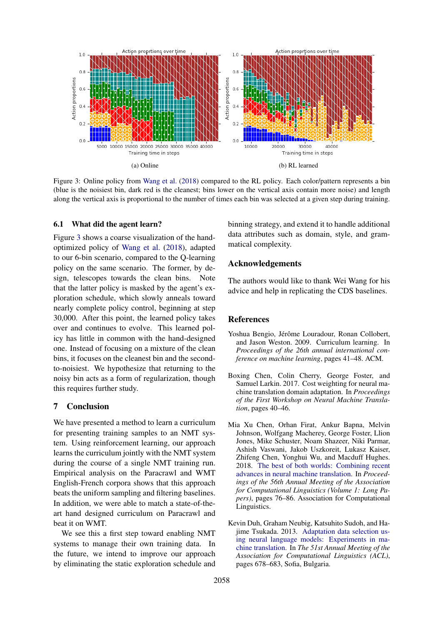

Figure 3: Online policy from Wang et al. (2018) compared to the RL policy. Each color/pattern represents a bin (blue is the noisiest bin, dark red is the cleanest; bins lower on the vertical axis contain more noise) and length along the vertical axis is proportional to the number of times each bin was selected at a given step during training.

#### 6.1 What did the agent learn?

Figure 3 shows a coarse visualization of the handoptimized policy of Wang et al. (2018), adapted to our 6-bin scenario, compared to the Q-learning policy on the same scenario. The former, by design, telescopes towards the clean bins. Note that the latter policy is masked by the agent's exploration schedule, which slowly anneals toward nearly complete policy control, beginning at step 30,000. After this point, the learned policy takes over and continues to evolve. This learned policy has little in common with the hand-designed one. Instead of focusing on a mixture of the clean bins, it focuses on the cleanest bin and the secondto-noisiest. We hypothesize that returning to the noisy bin acts as a form of regularization, though this requires further study.

### 7 Conclusion

We have presented a method to learn a curriculum for presenting training samples to an NMT system. Using reinforcement learning, our approach learns the curriculum jointly with the NMT system during the course of a single NMT training run. Empirical analysis on the Paracrawl and WMT English-French corpora shows that this approach beats the uniform sampling and filtering baselines. In addition, we were able to match a state-of-theart hand designed curriculum on Paracrawl and beat it on WMT.

We see this a first step toward enabling NMT systems to manage their own training data. In the future, we intend to improve our approach by eliminating the static exploration schedule and binning strategy, and extend it to handle additional data attributes such as domain, style, and grammatical complexity.

### Acknowledgements

The authors would like to thank Wei Wang for his advice and help in replicating the CDS baselines.

#### **References**

- Yoshua Bengio, Jérôme Louradour, Ronan Collobert, and Jason Weston. 2009. Curriculum learning. In *Proceedings of the 26th annual international conference on machine learning*, pages 41–48. ACM.
- Boxing Chen, Colin Cherry, George Foster, and Samuel Larkin. 2017. Cost weighting for neural machine translation domain adaptation. In *Proceedings of the First Workshop on Neural Machine Translation*, pages 40–46.
- Mia Xu Chen, Orhan Firat, Ankur Bapna, Melvin Johnson, Wolfgang Macherey, George Foster, Llion Jones, Mike Schuster, Noam Shazeer, Niki Parmar, Ashish Vaswani, Jakob Uszkoreit, Lukasz Kaiser, Zhifeng Chen, Yonghui Wu, and Macduff Hughes. 2018. The best of both worlds: Combining recent advances in neural machine translation. In *Proceedings of the 56th Annual Meeting of the Association for Computational Linguistics (Volume 1: Long Papers)*, pages 76–86. Association for Computational Linguistics.
- Kevin Duh, Graham Neubig, Katsuhito Sudoh, and Hajime Tsukada. 2013. Adaptation data selection using neural language models: Experiments in machine translation. In *The 51st Annual Meeting of the Association for Computational Linguistics (ACL)*, pages 678–683, Sofia, Bulgaria.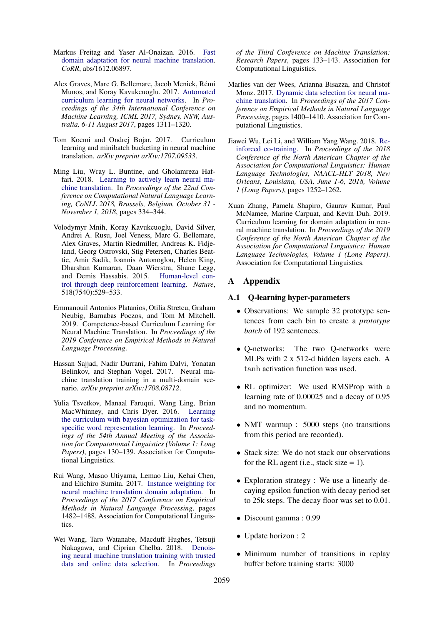- Markus Freitag and Yaser Al-Onaizan. 2016. Fast domain adaptation for neural machine translation. *CoRR*, abs/1612.06897.
- Alex Graves, Marc G. Bellemare, Jacob Menick, Remi ´ Munos, and Koray Kavukcuoglu. 2017. Automated curriculum learning for neural networks. In *Proceedings of the 34th International Conference on Machine Learning, ICML 2017, Sydney, NSW, Australia, 6-11 August 2017*, pages 1311–1320.
- Tom Kocmi and Ondrej Bojar. 2017. Curriculum learning and minibatch bucketing in neural machine translation. *arXiv preprint arXiv:1707.09533*.
- Ming Liu, Wray L. Buntine, and Gholamreza Haffari. 2018. Learning to actively learn neural machine translation. In *Proceedings of the 22nd Conference on Computational Natural Language Learning, CoNLL 2018, Brussels, Belgium, October 31 - November 1, 2018*, pages 334–344.
- Volodymyr Mnih, Koray Kavukcuoglu, David Silver, Andrei A. Rusu, Joel Veness, Marc G. Bellemare, Alex Graves, Martin Riedmiller, Andreas K. Fidjeland, Georg Ostrovski, Stig Petersen, Charles Beattie, Amir Sadik, Ioannis Antonoglou, Helen King, Dharshan Kumaran, Daan Wierstra, Shane Legg, and Demis Hassabis. 2015. Human-level control through deep reinforcement learning. *Nature*, 518(7540):529–533.
- Emmanouil Antonios Platanios, Otilia Stretcu, Graham Neubig, Barnabas Poczos, and Tom M Mitchell. 2019. Competence-based Curriculum Learning for Neural Machine Translation. In *Proceedings of the 2019 Conference on Empirical Methods in Natural Language Processing*.
- Hassan Sajjad, Nadir Durrani, Fahim Dalvi, Yonatan Belinkov, and Stephan Vogel. 2017. Neural machine translation training in a multi-domain scenario. *arXiv preprint arXiv:1708.08712*.
- Yulia Tsvetkov, Manaal Faruqui, Wang Ling, Brian MacWhinney, and Chris Dyer. 2016. Learning the curriculum with bayesian optimization for taskspecific word representation learning. In *Proceedings of the 54th Annual Meeting of the Association for Computational Linguistics (Volume 1: Long Papers)*, pages 130–139. Association for Computational Linguistics.
- Rui Wang, Masao Utiyama, Lemao Liu, Kehai Chen, and Eiichiro Sumita. 2017. Instance weighting for neural machine translation domain adaptation. In *Proceedings of the 2017 Conference on Empirical Methods in Natural Language Processing*, pages 1482–1488. Association for Computational Linguistics.
- Wei Wang, Taro Watanabe, Macduff Hughes, Tetsuji Nakagawa, and Ciprian Chelba. 2018. Denoising neural machine translation training with trusted data and online data selection. In *Proceedings*

*of the Third Conference on Machine Translation: Research Papers*, pages 133–143. Association for Computational Linguistics.

- Marlies van der Wees, Arianna Bisazza, and Christof Monz. 2017. Dynamic data selection for neural machine translation. In *Proceedings of the 2017 Conference on Empirical Methods in Natural Language Processing*, pages 1400–1410. Association for Computational Linguistics.
- Jiawei Wu, Lei Li, and William Yang Wang. 2018. Reinforced co-training. In *Proceedings of the 2018 Conference of the North American Chapter of the Association for Computational Linguistics: Human Language Technologies, NAACL-HLT 2018, New Orleans, Louisiana, USA, June 1-6, 2018, Volume 1 (Long Papers)*, pages 1252–1262.
- Xuan Zhang, Pamela Shapiro, Gaurav Kumar, Paul McNamee, Marine Carpuat, and Kevin Duh. 2019. Curriculum learning for domain adaptation in neural machine translation. In *Proceedings of the 2019 Conference of the North American Chapter of the Association for Computational Linguistics: Human Language Technologies, Volume 1 (Long Papers)*. Association for Computational Linguistics.

# A Appendix

#### A.1 Q-learning hyper-parameters

- Observations: We sample 32 prototype sentences from each bin to create a *prototype batch* of 192 sentences.
- Q-networks: The two Q-networks were MLPs with 2 x 512-d hidden layers each. A tanh activation function was used.
- RL optimizer: We used RMSProp with a learning rate of 0.00025 and a decay of 0.95 and no momentum.
- NMT warmup : 5000 steps (no transitions from this period are recorded).
- Stack size: We do not stack our observations for the RL agent (i.e., stack size  $= 1$ ).
- Exploration strategy : We use a linearly decaying epsilon function with decay period set to 25k steps. The decay floor was set to 0.01.
- Discount gamma : 0.99
- Update horizon : 2
- Minimum number of transitions in replay buffer before training starts: 3000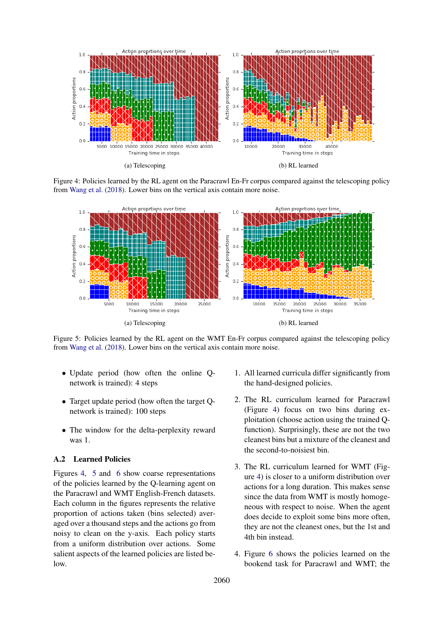

Figure 4: Policies learned by the RL agent on the Paracrawl En-Fr corpus compared against the telescoping policy from Wang et al. (2018). Lower bins on the vertical axis contain more noise.



Figure 5: Policies learned by the RL agent on the WMT En-Fr corpus compared against the telescoping policy from Wang et al. (2018). Lower bins on the vertical axis contain more noise.

- Update period (how often the online Qnetwork is trained): 4 steps
- Target update period (how often the target Qnetwork is trained): 100 steps
- The window for the delta-perplexity reward was 1.

# A.2 Learned Policies

Figures 4, 5 and 6 show coarse representations of the policies learned by the Q-learning agent on the Paracrawl and WMT English-French datasets. Each column in the figures represents the relative proportion of actions taken (bins selected) averaged over a thousand steps and the actions go from noisy to clean on the y-axis. Each policy starts from a uniform distribution over actions. Some salient aspects of the learned policies are listed below.

- 1. All learned curricula differ significantly from the hand-designed policies.
- 2. The RL curriculum learned for Paracrawl (Figure 4) focus on two bins during exploitation (choose action using the trained Qfunction). Surprisingly, these are not the two cleanest bins but a mixture of the cleanest and the second-to-noisiest bin.
- 3. The RL curriculum learned for WMT (Figure 4) is closer to a uniform distribution over actions for a long duration. This makes sense since the data from WMT is mostly homogeneous with respect to noise. When the agent does decide to exploit some bins more often, they are not the cleanest ones, but the 1st and 4th bin instead.
- 4. Figure 6 shows the policies learned on the bookend task for Paracrawl and WMT; the